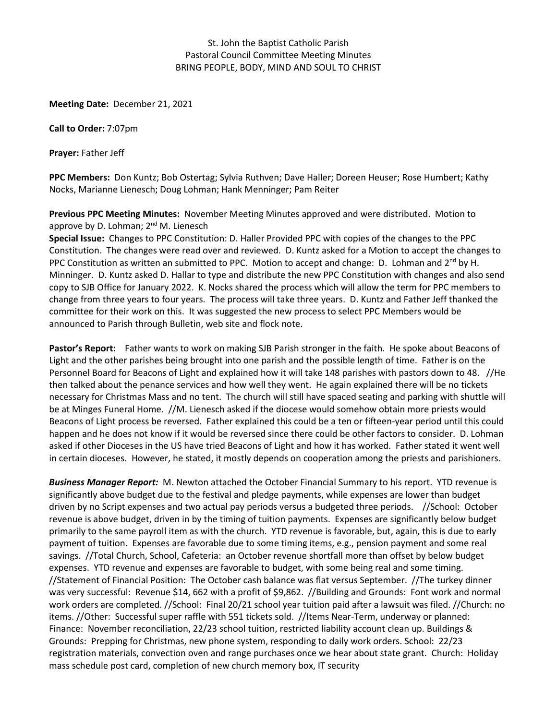## St. John the Baptist Catholic Parish Pastoral Council Committee Meeting Minutes BRING PEOPLE, BODY, MIND AND SOUL TO CHRIST

**Meeting Date:** December 21, 2021

**Call to Order:** 7:07pm

**Prayer:** Father Jeff

**PPC Members:** Don Kuntz; Bob Ostertag; Sylvia Ruthven; Dave Haller; Doreen Heuser; Rose Humbert; Kathy Nocks, Marianne Lienesch; Doug Lohman; Hank Menninger; Pam Reiter

**Previous PPC Meeting Minutes:** November Meeting Minutes approved and were distributed. Motion to approve by D. Lohman;  $2^{nd}$  M. Lienesch

**Special Issue:** Changes to PPC Constitution: D. Haller Provided PPC with copies of the changes to the PPC Constitution. The changes were read over and reviewed. D. Kuntz asked for a Motion to accept the changes to PPC Constitution as written an submitted to PPC. Motion to accept and change: D. Lohman and 2<sup>nd</sup> by H. Minninger. D. Kuntz asked D. Hallar to type and distribute the new PPC Constitution with changes and also send copy to SJB Office for January 2022. K. Nocks shared the process which will allow the term for PPC members to change from three years to four years. The process will take three years. D. Kuntz and Father Jeff thanked the committee for their work on this. It was suggested the new process to select PPC Members would be announced to Parish through Bulletin, web site and flock note.

**Pastor's Report:** Father wants to work on making SJB Parish stronger in the faith. He spoke about Beacons of Light and the other parishes being brought into one parish and the possible length of time. Father is on the Personnel Board for Beacons of Light and explained how it will take 148 parishes with pastors down to 48. //He then talked about the penance services and how well they went. He again explained there will be no tickets necessary for Christmas Mass and no tent. The church will still have spaced seating and parking with shuttle will be at Minges Funeral Home. //M. Lienesch asked if the diocese would somehow obtain more priests would Beacons of Light process be reversed. Father explained this could be a ten or fifteen-year period until this could happen and he does not know if it would be reversed since there could be other factors to consider. D. Lohman asked if other Dioceses in the US have tried Beacons of Light and how it has worked. Father stated it went well in certain dioceses. However, he stated, it mostly depends on cooperation among the priests and parishioners.

*Business Manager Report:* M. Newton attached the October Financial Summary to his report. YTD revenue is significantly above budget due to the festival and pledge payments, while expenses are lower than budget driven by no Script expenses and two actual pay periods versus a budgeted three periods. //School: October revenue is above budget, driven in by the timing of tuition payments. Expenses are significantly below budget primarily to the same payroll item as with the church. YTD revenue is favorable, but, again, this is due to early payment of tuition. Expenses are favorable due to some timing items, e.g., pension payment and some real savings. //Total Church, School, Cafeteria: an October revenue shortfall more than offset by below budget expenses. YTD revenue and expenses are favorable to budget, with some being real and some timing. //Statement of Financial Position: The October cash balance was flat versus September. //The turkey dinner was very successful: Revenue \$14, 662 with a profit of \$9,862. //Building and Grounds: Font work and normal work orders are completed. //School: Final 20/21 school year tuition paid after a lawsuit was filed. //Church: no items. //Other: Successful super raffle with 551 tickets sold. //Items Near-Term, underway or planned: Finance: November reconciliation, 22/23 school tuition, restricted liability account clean up. Buildings & Grounds: Prepping for Christmas, new phone system, responding to daily work orders. School: 22/23 registration materials, convection oven and range purchases once we hear about state grant. Church: Holiday mass schedule post card, completion of new church memory box, IT security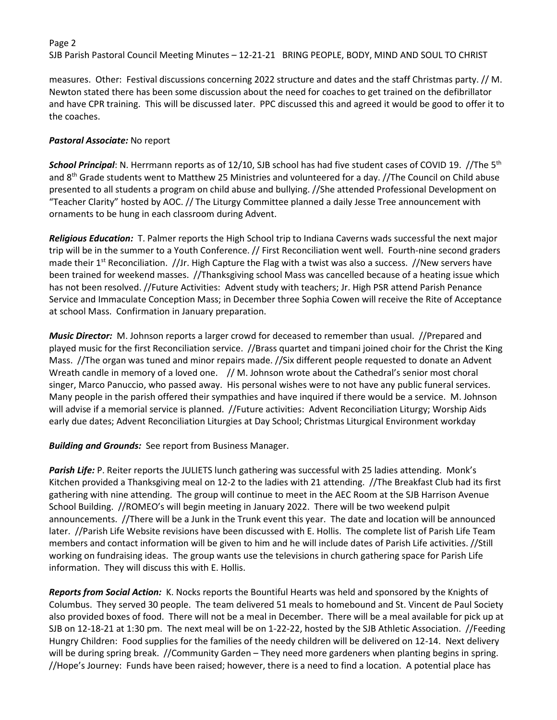## Page 2 SJB Parish Pastoral Council Meeting Minutes – 12-21-21 BRING PEOPLE, BODY, MIND AND SOUL TO CHRIST

measures. Other: Festival discussions concerning 2022 structure and dates and the staff Christmas party. // M. Newton stated there has been some discussion about the need for coaches to get trained on the defibrillator and have CPR training. This will be discussed later. PPC discussed this and agreed it would be good to offer it to the coaches.

## *Pastoral Associate:* No report

*School Principal*: N. Herrmann reports as of 12/10, SJB school has had five student cases of COVID 19. //The 5th and 8th Grade students went to Matthew 25 Ministries and volunteered for a day. //The Council on Child abuse presented to all students a program on child abuse and bullying. //She attended Professional Development on "Teacher Clarity" hosted by AOC. // The Liturgy Committee planned a daily Jesse Tree announcement with ornaments to be hung in each classroom during Advent.

*Religious Education:* T. Palmer reports the High School trip to Indiana Caverns wads successful the next major trip will be in the summer to a Youth Conference. // First Reconciliation went well. Fourth-nine second graders made their  $1^{st}$  Reconciliation. //Jr. High Capture the Flag with a twist was also a success. //New servers have been trained for weekend masses. //Thanksgiving school Mass was cancelled because of a heating issue which has not been resolved. //Future Activities: Advent study with teachers; Jr. High PSR attend Parish Penance Service and Immaculate Conception Mass; in December three Sophia Cowen will receive the Rite of Acceptance at school Mass. Confirmation in January preparation.

*Music Director:* M. Johnson reports a larger crowd for deceased to remember than usual. //Prepared and played music for the first Reconciliation service. //Brass quartet and timpani joined choir for the Christ the King Mass. //The organ was tuned and minor repairs made. //Six different people requested to donate an Advent Wreath candle in memory of a loved one. // M. Johnson wrote about the Cathedral's senior most choral singer, Marco Panuccio, who passed away. His personal wishes were to not have any public funeral services. Many people in the parish offered their sympathies and have inquired if there would be a service. M. Johnson will advise if a memorial service is planned. //Future activities: Advent Reconciliation Liturgy; Worship Aids early due dates; Advent Reconciliation Liturgies at Day School; Christmas Liturgical Environment workday

## *Building and Grounds:* See report from Business Manager.

Parish Life: P. Reiter reports the JULIETS lunch gathering was successful with 25 ladies attending. Monk's Kitchen provided a Thanksgiving meal on 12-2 to the ladies with 21 attending. //The Breakfast Club had its first gathering with nine attending. The group will continue to meet in the AEC Room at the SJB Harrison Avenue School Building. //ROMEO's will begin meeting in January 2022. There will be two weekend pulpit announcements. //There will be a Junk in the Trunk event this year. The date and location will be announced later. //Parish Life Website revisions have been discussed with E. Hollis. The complete list of Parish Life Team members and contact information will be given to him and he will include dates of Parish Life activities. //Still working on fundraising ideas. The group wants use the televisions in church gathering space for Parish Life information. They will discuss this with E. Hollis.

*Reports from Social Action:* K. Nocks reports the Bountiful Hearts was held and sponsored by the Knights of Columbus. They served 30 people. The team delivered 51 meals to homebound and St. Vincent de Paul Society also provided boxes of food. There will not be a meal in December. There will be a meal available for pick up at SJB on 12-18-21 at 1:30 pm. The next meal will be on 1-22-22, hosted by the SJB Athletic Association. //Feeding Hungry Children: Food supplies for the families of the needy children will be delivered on 12-14. Next delivery will be during spring break. //Community Garden – They need more gardeners when planting begins in spring. //Hope's Journey: Funds have been raised; however, there is a need to find a location. A potential place has